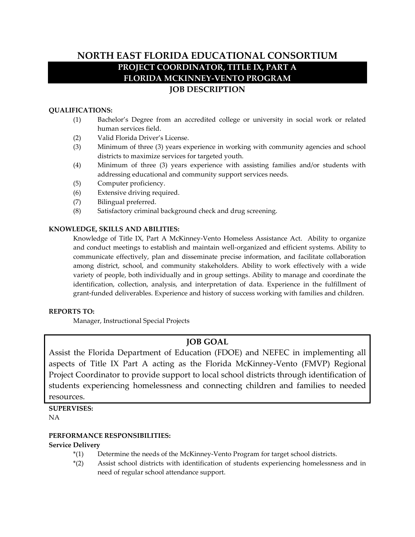# **NORTH EAST FLORIDA EDUCATIONAL CONSORTIUM PROJECT COORDINATOR, TITLE IX, PART A FLORIDA MCKINNEY-VENTO PROGRAM JOB DESCRIPTION**

# **QUALIFICATIONS:**

- (1) Bachelor's Degree from an accredited college or university in social work or related human services field.
- (2) Valid Florida Driver's License.
- (3) Minimum of three (3) years experience in working with community agencies and school districts to maximize services for targeted youth.
- (4) Minimum of three (3) years experience with assisting families and/or students with addressing educational and community support services needs.
- (5) Computer proficiency.
- (6) Extensive driving required.
- (7) Bilingual preferred.
- (8) Satisfactory criminal background check and drug screening.

#### **KNOWLEDGE, SKILLS AND ABILITIES:**

Knowledge of Title IX, Part A McKinney-Vento Homeless Assistance Act. Ability to organize and conduct meetings to establish and maintain well-organized and efficient systems. Ability to communicate effectively, plan and disseminate precise information, and facilitate collaboration among district, school, and community stakeholders. Ability to work effectively with a wide variety of people, both individually and in group settings. Ability to manage and coordinate the identification, collection, analysis, and interpretation of data. Experience in the fulfillment of grant-funded deliverables. Experience and history of success working with families and children.

#### **REPORTS TO:**

Manager, Instructional Special Projects

# **JOB GOAL**

Assist the Florida Department of Education (FDOE) and NEFEC in implementing all aspects of Title IX Part A acting as the Florida McKinney-Vento (FMVP) Regional Project Coordinator to provide support to local school districts through identification of students experiencing homelessness and connecting children and families to needed resources.

**SUPERVISES:** NA

#### **PERFORMANCE RESPONSIBILITIES:**

#### **Service Delivery**

- \*(1) Determine the needs of the McKinney-Vento Program for target school districts.
- \*(2) Assist school districts with identification of students experiencing homelessness and in need of regular school attendance support.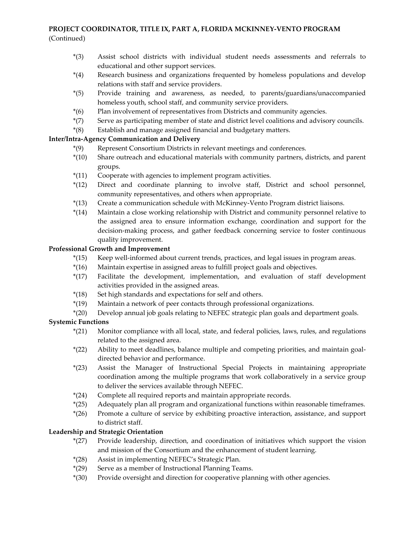# **PROJECT COORDINATOR, TITLE IX, PART A, FLORIDA MCKINNEY-VENTO PROGRAM** (Continued)

- \*(3) Assist school districts with individual student needs assessments and referrals to educational and other support services.
- \*(4) Research business and organizations frequented by homeless populations and develop relations with staff and service providers.
- \*(5) Provide training and awareness, as needed, to parents/guardians/unaccompanied homeless youth, school staff, and community service providers.
- \*(6) Plan involvement of representatives from Districts and community agencies.
- \*(7) Serve as participating member of state and district level coalitions and advisory councils.
- \*(8) Establish and manage assigned financial and budgetary matters.

# **Inter/Intra-Agency Communication and Delivery**

- \*(9) Represent Consortium Districts in relevant meetings and conferences.
- \*(10) Share outreach and educational materials with community partners, districts, and parent groups.
- \*(11) Cooperate with agencies to implement program activities.
- \*(12) Direct and coordinate planning to involve staff, District and school personnel, community representatives, and others when appropriate.
- \*(13) Create a communication schedule with McKinney-Vento Program district liaisons.
- \*(14) Maintain a close working relationship with District and community personnel relative to the assigned area to ensure information exchange, coordination and support for the decision-making process, and gather feedback concerning service to foster continuous quality improvement.

# **Professional Growth and Improvement**

- \*(15) Keep well-informed about current trends, practices, and legal issues in program areas.
- \*(16) Maintain expertise in assigned areas to fulfill project goals and objectives.
- \*(17) Facilitate the development, implementation, and evaluation of staff development activities provided in the assigned areas.
- \*(18) Set high standards and expectations for self and others.
- \*(19) Maintain a network of peer contacts through professional organizations.
- \*(20) Develop annual job goals relating to NEFEC strategic plan goals and department goals.

# **Systemic Functions**

- \*(21) Monitor compliance with all local, state, and federal policies, laws, rules, and regulations related to the assigned area.
- \*(22) Ability to meet deadlines, balance multiple and competing priorities, and maintain goaldirected behavior and performance.
- \*(23) Assist the Manager of Instructional Special Projects in maintaining appropriate coordination among the multiple programs that work collaboratively in a service group to deliver the services available through NEFEC.
- \*(24) Complete all required reports and maintain appropriate records.
- \*(25) Adequately plan all program and organizational functions within reasonable timeframes.
- \*(26) Promote a culture of service by exhibiting proactive interaction, assistance, and support to district staff.

# **Leadership and Strategic Orientation**

- \*(27) Provide leadership, direction, and coordination of initiatives which support the vision and mission of the Consortium and the enhancement of student learning.
- \*(28) Assist in implementing NEFEC's Strategic Plan.
- \*(29) Serve as a member of Instructional Planning Teams.
- \*(30) Provide oversight and direction for cooperative planning with other agencies.